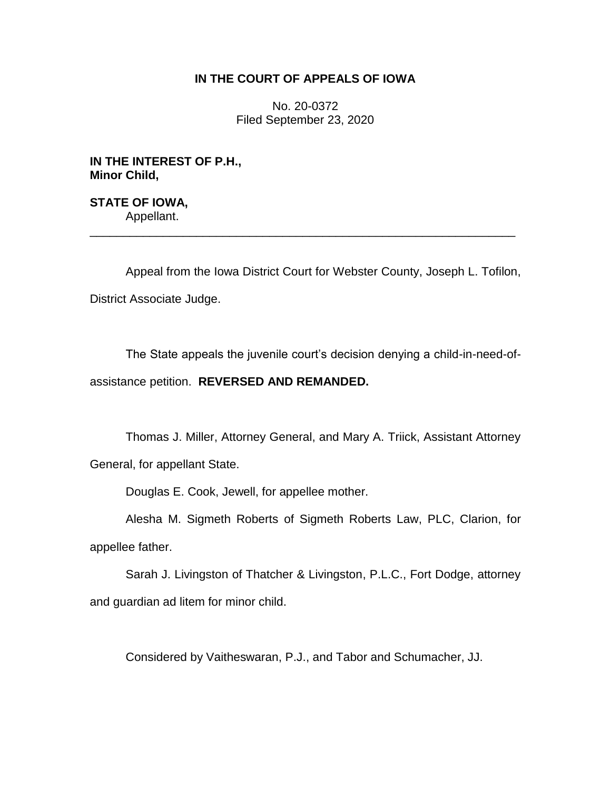## **IN THE COURT OF APPEALS OF IOWA**

No. 20-0372 Filed September 23, 2020

**IN THE INTEREST OF P.H., Minor Child,**

**STATE OF IOWA,** Appellant. \_\_\_\_\_\_\_\_\_\_\_\_\_\_\_\_\_\_\_\_\_\_\_\_\_\_\_\_\_\_\_\_\_\_\_\_\_\_\_\_\_\_\_\_\_\_\_\_\_\_\_\_\_\_\_\_\_\_\_\_\_\_\_\_

Appeal from the Iowa District Court for Webster County, Joseph L. Tofilon, District Associate Judge.

The State appeals the juvenile court's decision denying a child-in-need-ofassistance petition. **REVERSED AND REMANDED.**

Thomas J. Miller, Attorney General, and Mary A. Triick, Assistant Attorney General, for appellant State.

Douglas E. Cook, Jewell, for appellee mother.

Alesha M. Sigmeth Roberts of Sigmeth Roberts Law, PLC, Clarion, for appellee father.

Sarah J. Livingston of Thatcher & Livingston, P.L.C., Fort Dodge, attorney and guardian ad litem for minor child.

Considered by Vaitheswaran, P.J., and Tabor and Schumacher, JJ.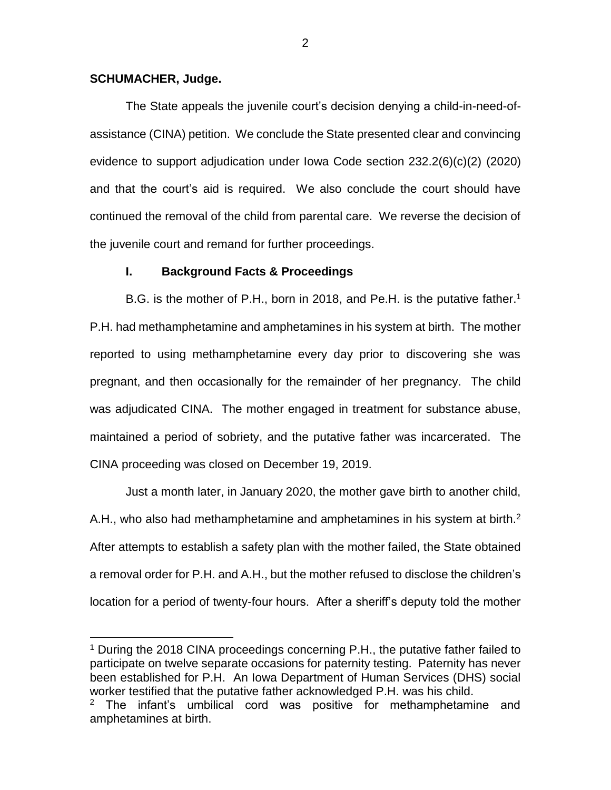### **SCHUMACHER, Judge.**

 $\overline{a}$ 

The State appeals the juvenile court's decision denying a child-in-need-ofassistance (CINA) petition. We conclude the State presented clear and convincing evidence to support adjudication under Iowa Code section 232.2(6)(c)(2) (2020) and that the court's aid is required. We also conclude the court should have continued the removal of the child from parental care. We reverse the decision of the juvenile court and remand for further proceedings.

#### **I. Background Facts & Proceedings**

B.G. is the mother of P.H., born in 2018, and Pe.H. is the putative father.<sup>1</sup> P.H. had methamphetamine and amphetamines in his system at birth. The mother reported to using methamphetamine every day prior to discovering she was pregnant, and then occasionally for the remainder of her pregnancy. The child was adjudicated CINA. The mother engaged in treatment for substance abuse, maintained a period of sobriety, and the putative father was incarcerated. The CINA proceeding was closed on December 19, 2019.

Just a month later, in January 2020, the mother gave birth to another child, A.H., who also had methamphetamine and amphetamines in his system at birth. $2$ After attempts to establish a safety plan with the mother failed, the State obtained a removal order for P.H. and A.H., but the mother refused to disclose the children's location for a period of twenty-four hours. After a sheriff's deputy told the mother

<sup>&</sup>lt;sup>1</sup> During the 2018 CINA proceedings concerning P.H., the putative father failed to participate on twelve separate occasions for paternity testing. Paternity has never been established for P.H. An Iowa Department of Human Services (DHS) social worker testified that the putative father acknowledged P.H. was his child.

 $2$  The infant's umbilical cord was positive for methamphetamine and amphetamines at birth.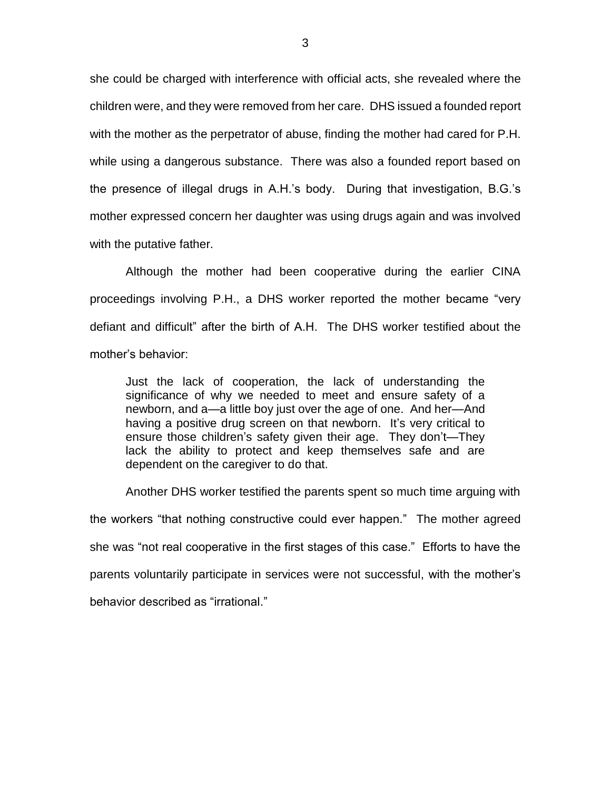she could be charged with interference with official acts, she revealed where the children were, and they were removed from her care. DHS issued a founded report with the mother as the perpetrator of abuse, finding the mother had cared for P.H. while using a dangerous substance. There was also a founded report based on the presence of illegal drugs in A.H.'s body. During that investigation, B.G.'s mother expressed concern her daughter was using drugs again and was involved with the putative father.

Although the mother had been cooperative during the earlier CINA proceedings involving P.H., a DHS worker reported the mother became "very defiant and difficult" after the birth of A.H. The DHS worker testified about the mother's behavior:

Just the lack of cooperation, the lack of understanding the significance of why we needed to meet and ensure safety of a newborn, and a—a little boy just over the age of one. And her—And having a positive drug screen on that newborn. It's very critical to ensure those children's safety given their age. They don't—They lack the ability to protect and keep themselves safe and are dependent on the caregiver to do that.

Another DHS worker testified the parents spent so much time arguing with the workers "that nothing constructive could ever happen." The mother agreed she was "not real cooperative in the first stages of this case." Efforts to have the parents voluntarily participate in services were not successful, with the mother's behavior described as "irrational."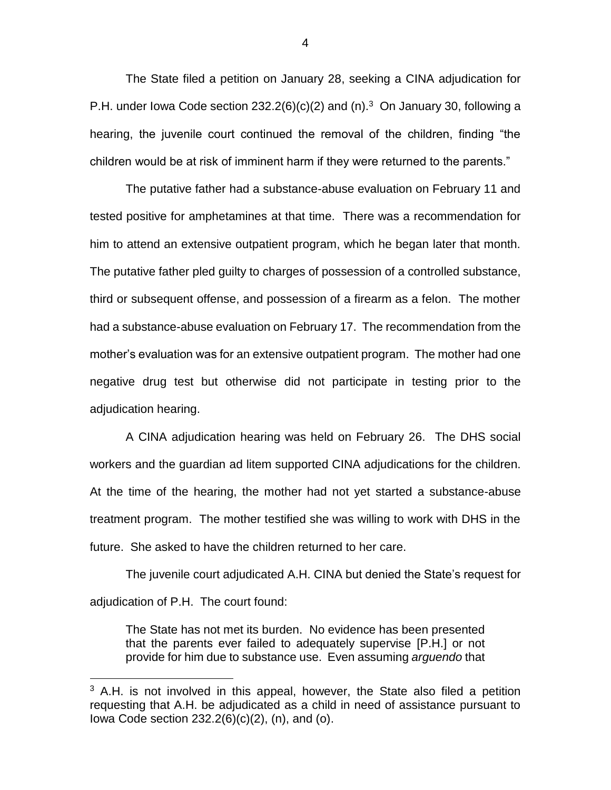The State filed a petition on January 28, seeking a CINA adjudication for P.H. under Iowa Code section 232.2(6)(c)(2) and (n).<sup>3</sup> On January 30, following a hearing, the juvenile court continued the removal of the children, finding "the children would be at risk of imminent harm if they were returned to the parents."

The putative father had a substance-abuse evaluation on February 11 and tested positive for amphetamines at that time. There was a recommendation for him to attend an extensive outpatient program, which he began later that month. The putative father pled guilty to charges of possession of a controlled substance, third or subsequent offense, and possession of a firearm as a felon. The mother had a substance-abuse evaluation on February 17. The recommendation from the mother's evaluation was for an extensive outpatient program. The mother had one negative drug test but otherwise did not participate in testing prior to the adjudication hearing.

A CINA adjudication hearing was held on February 26. The DHS social workers and the guardian ad litem supported CINA adjudications for the children. At the time of the hearing, the mother had not yet started a substance-abuse treatment program. The mother testified she was willing to work with DHS in the future. She asked to have the children returned to her care.

The juvenile court adjudicated A.H. CINA but denied the State's request for adjudication of P.H. The court found:

The State has not met its burden. No evidence has been presented that the parents ever failed to adequately supervise [P.H.] or not provide for him due to substance use. Even assuming *arguendo* that

 $\overline{a}$ 

4

 $3$  A.H. is not involved in this appeal, however, the State also filed a petition requesting that A.H. be adjudicated as a child in need of assistance pursuant to Iowa Code section 232.2(6)(c)(2), (n), and (o).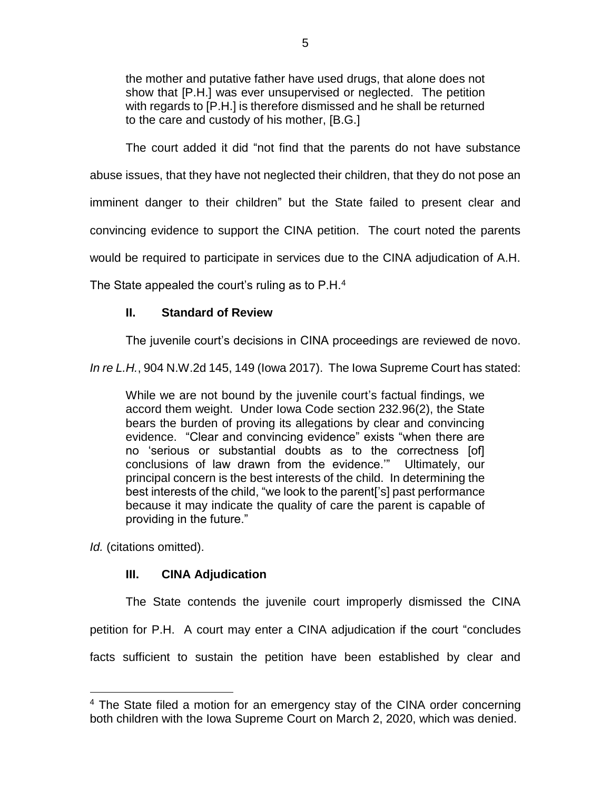the mother and putative father have used drugs, that alone does not show that [P.H.] was ever unsupervised or neglected. The petition with regards to [P.H.] is therefore dismissed and he shall be returned to the care and custody of his mother, [B.G.]

The court added it did "not find that the parents do not have substance abuse issues, that they have not neglected their children, that they do not pose an imminent danger to their children" but the State failed to present clear and convincing evidence to support the CINA petition. The court noted the parents would be required to participate in services due to the CINA adjudication of A.H.

The State appealed the court's ruling as to  $P.H.^4$ 

# **II. Standard of Review**

The juvenile court's decisions in CINA proceedings are reviewed de novo.

*In re L.H.*, 904 N.W.2d 145, 149 (Iowa 2017). The Iowa Supreme Court has stated:

While we are not bound by the juvenile court's factual findings, we accord them weight. Under Iowa Code section 232.96(2), the State bears the burden of proving its allegations by clear and convincing evidence. "Clear and convincing evidence" exists "when there are no 'serious or substantial doubts as to the correctness [of] conclusions of law drawn from the evidence.'" Ultimately, our principal concern is the best interests of the child. In determining the best interests of the child, "we look to the parent['s] past performance because it may indicate the quality of care the parent is capable of providing in the future."

*Id.* (citations omitted).

 $\overline{a}$ 

# **III. CINA Adjudication**

The State contends the juvenile court improperly dismissed the CINA petition for P.H. A court may enter a CINA adjudication if the court "concludes facts sufficient to sustain the petition have been established by clear and

<sup>&</sup>lt;sup>4</sup> The State filed a motion for an emergency stay of the CINA order concerning both children with the Iowa Supreme Court on March 2, 2020, which was denied.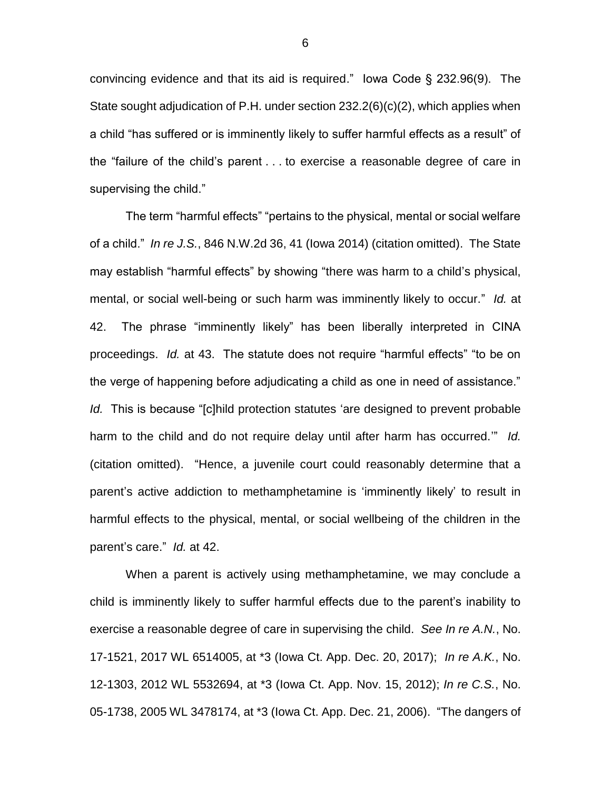convincing evidence and that its aid is required." Iowa Code § 232.96(9). The State sought adjudication of P.H. under section 232.2(6)(c)(2), which applies when a child "has suffered or is imminently likely to suffer harmful effects as a result" of the "failure of the child's parent . . . to exercise a reasonable degree of care in supervising the child."

The term "harmful effects" "pertains to the physical, mental or social welfare of a child." *In re J.S.*, 846 N.W.2d 36, 41 (Iowa 2014) (citation omitted). The State may establish "harmful effects" by showing "there was harm to a child's physical, mental, or social well-being or such harm was imminently likely to occur." *Id.* at 42. The phrase "imminently likely" has been liberally interpreted in CINA proceedings. *Id.* at 43. The statute does not require "harmful effects" "to be on the verge of happening before adjudicating a child as one in need of assistance." *Id.* This is because "[c]hild protection statutes 'are designed to prevent probable harm to the child and do not require delay until after harm has occurred.'" *Id.* (citation omitted). "Hence, a juvenile court could reasonably determine that a parent's active addiction to methamphetamine is 'imminently likely' to result in harmful effects to the physical, mental, or social wellbeing of the children in the parent's care." *Id.* at 42.

When a parent is actively using methamphetamine, we may conclude a child is imminently likely to suffer harmful effects due to the parent's inability to exercise a reasonable degree of care in supervising the child. *See In re A.N.*, No. 17-1521, 2017 WL 6514005, at \*3 (Iowa Ct. App. Dec. 20, 2017); *In re A.K.*, No. 12-1303, 2012 WL 5532694, at \*3 (Iowa Ct. App. Nov. 15, 2012); *In re C.S.*, No. 05-1738, 2005 WL 3478174, at \*3 (Iowa Ct. App. Dec. 21, 2006). "The dangers of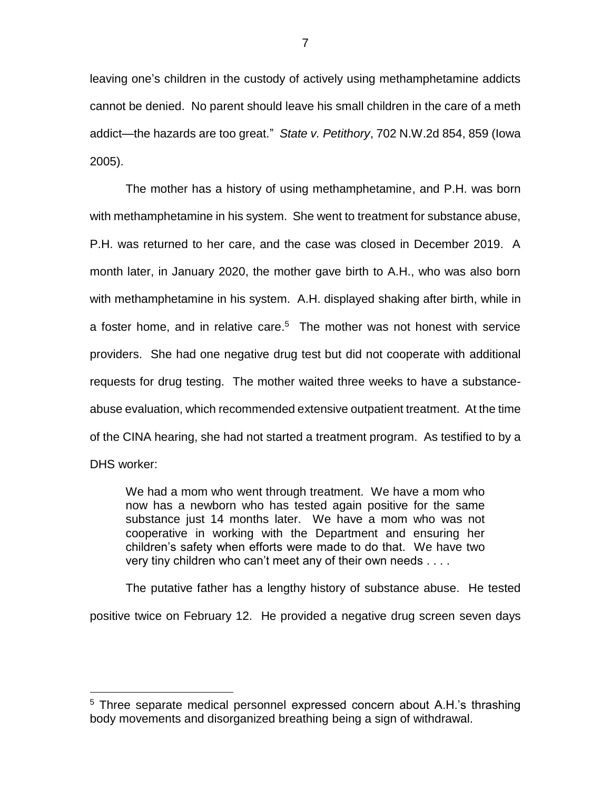leaving one's children in the custody of actively using methamphetamine addicts cannot be denied. No parent should leave his small children in the care of a meth addict—the hazards are too great." *State v. Petithory*, 702 N.W.2d 854, 859 (Iowa 2005).

The mother has a history of using methamphetamine, and P.H. was born with methamphetamine in his system. She went to treatment for substance abuse, P.H. was returned to her care, and the case was closed in December 2019. A month later, in January 2020, the mother gave birth to A.H., who was also born with methamphetamine in his system. A.H. displayed shaking after birth, while in a foster home, and in relative care. <sup>5</sup> The mother was not honest with service providers. She had one negative drug test but did not cooperate with additional requests for drug testing. The mother waited three weeks to have a substanceabuse evaluation, which recommended extensive outpatient treatment. At the time of the CINA hearing, she had not started a treatment program. As testified to by a DHS worker:

We had a mom who went through treatment. We have a mom who now has a newborn who has tested again positive for the same substance just 14 months later. We have a mom who was not cooperative in working with the Department and ensuring her children's safety when efforts were made to do that. We have two very tiny children who can't meet any of their own needs . . . .

The putative father has a lengthy history of substance abuse. He tested positive twice on February 12. He provided a negative drug screen seven days

 $\overline{a}$ 

<sup>&</sup>lt;sup>5</sup> Three separate medical personnel expressed concern about A.H.'s thrashing body movements and disorganized breathing being a sign of withdrawal.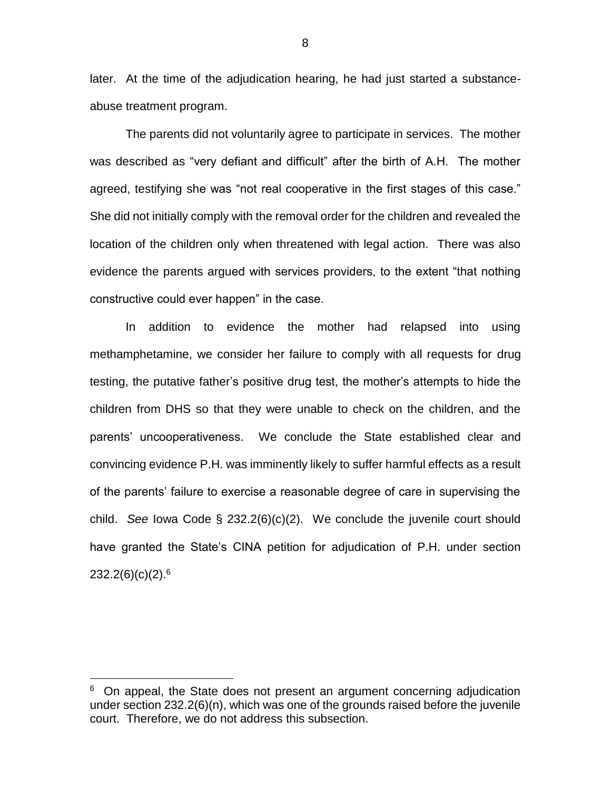later. At the time of the adjudication hearing, he had just started a substanceabuse treatment program.

The parents did not voluntarily agree to participate in services. The mother was described as "very defiant and difficult" after the birth of A.H. The mother agreed, testifying she was "not real cooperative in the first stages of this case." She did not initially comply with the removal order for the children and revealed the location of the children only when threatened with legal action. There was also evidence the parents argued with services providers, to the extent "that nothing constructive could ever happen" in the case.

In addition to evidence the mother had relapsed into using methamphetamine, we consider her failure to comply with all requests for drug testing, the putative father's positive drug test, the mother's attempts to hide the children from DHS so that they were unable to check on the children, and the parents' uncooperativeness. We conclude the State established clear and convincing evidence P.H. was imminently likely to suffer harmful effects as a result of the parents' failure to exercise a reasonable degree of care in supervising the child. *See* Iowa Code § 232.2(6)(c)(2). We conclude the juvenile court should have granted the State's CINA petition for adjudication of P.H. under section  $232.2(6)(c)(2).^{6}$ 

 $\overline{a}$ 

8

<sup>&</sup>lt;sup>6</sup> On appeal, the State does not present an argument concerning adjudication under section 232.2(6)(n), which was one of the grounds raised before the juvenile court. Therefore, we do not address this subsection.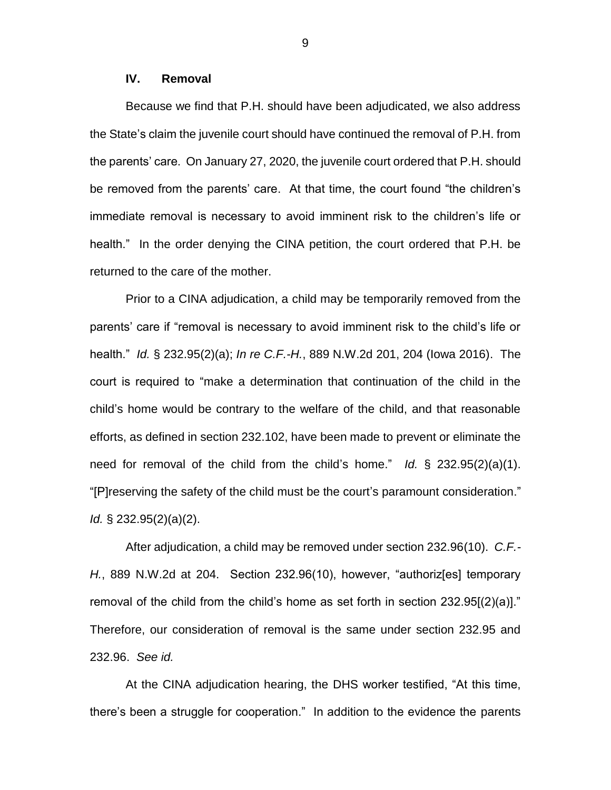### **IV. Removal**

Because we find that P.H. should have been adjudicated, we also address the State's claim the juvenile court should have continued the removal of P.H. from the parents' care. On January 27, 2020, the juvenile court ordered that P.H. should be removed from the parents' care. At that time, the court found "the children's immediate removal is necessary to avoid imminent risk to the children's life or health." In the order denying the CINA petition, the court ordered that P.H. be returned to the care of the mother.

Prior to a CINA adjudication, a child may be temporarily removed from the parents' care if "removal is necessary to avoid imminent risk to the child's life or health." *Id.* § 232.95(2)(a); *In re C.F.-H.*, 889 N.W.2d 201, 204 (Iowa 2016). The court is required to "make a determination that continuation of the child in the child's home would be contrary to the welfare of the child, and that reasonable efforts, as defined in section 232.102, have been made to prevent or eliminate the need for removal of the child from the child's home." *Id.* § 232.95(2)(a)(1). "[P]reserving the safety of the child must be the court's paramount consideration." *Id.* § 232.95(2)(a)(2).

After adjudication, a child may be removed under section 232.96(10). *C.F.- H.*, 889 N.W.2d at 204. Section 232.96(10), however, "authoriz[es] temporary removal of the child from the child's home as set forth in section 232.95[(2)(a)]." Therefore, our consideration of removal is the same under section 232.95 and 232.96. *See id.*

At the CINA adjudication hearing, the DHS worker testified, "At this time, there's been a struggle for cooperation." In addition to the evidence the parents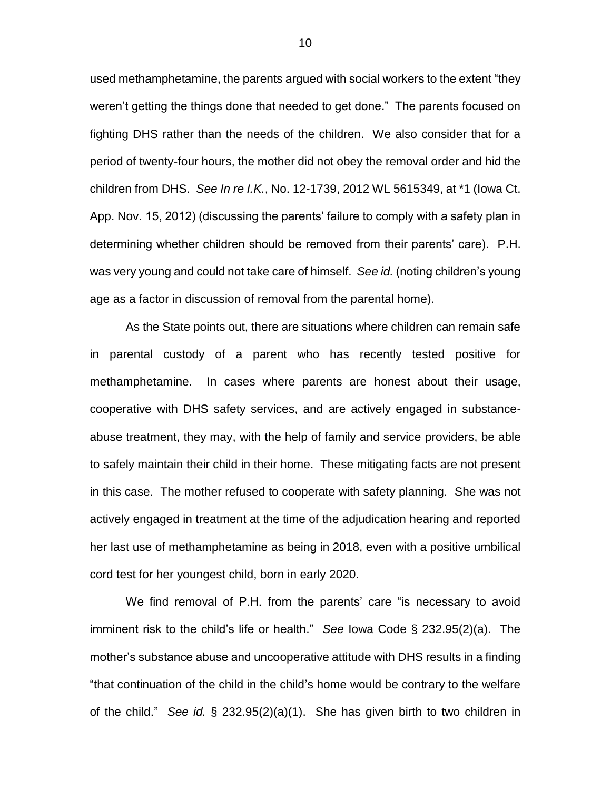used methamphetamine, the parents argued with social workers to the extent "they weren't getting the things done that needed to get done." The parents focused on fighting DHS rather than the needs of the children. We also consider that for a period of twenty-four hours, the mother did not obey the removal order and hid the children from DHS. *See In re I.K.*, No. 12-1739, 2012 WL 5615349, at \*1 (Iowa Ct. App. Nov. 15, 2012) (discussing the parents' failure to comply with a safety plan in determining whether children should be removed from their parents' care). P.H. was very young and could not take care of himself. *See id.* (noting children's young age as a factor in discussion of removal from the parental home).

As the State points out, there are situations where children can remain safe in parental custody of a parent who has recently tested positive for methamphetamine. In cases where parents are honest about their usage, cooperative with DHS safety services, and are actively engaged in substanceabuse treatment, they may, with the help of family and service providers, be able to safely maintain their child in their home. These mitigating facts are not present in this case. The mother refused to cooperate with safety planning. She was not actively engaged in treatment at the time of the adjudication hearing and reported her last use of methamphetamine as being in 2018, even with a positive umbilical cord test for her youngest child, born in early 2020.

We find removal of P.H. from the parents' care "is necessary to avoid imminent risk to the child's life or health." *See* Iowa Code § 232.95(2)(a). The mother's substance abuse and uncooperative attitude with DHS results in a finding "that continuation of the child in the child's home would be contrary to the welfare of the child." *See id.* § 232.95(2)(a)(1). She has given birth to two children in

10